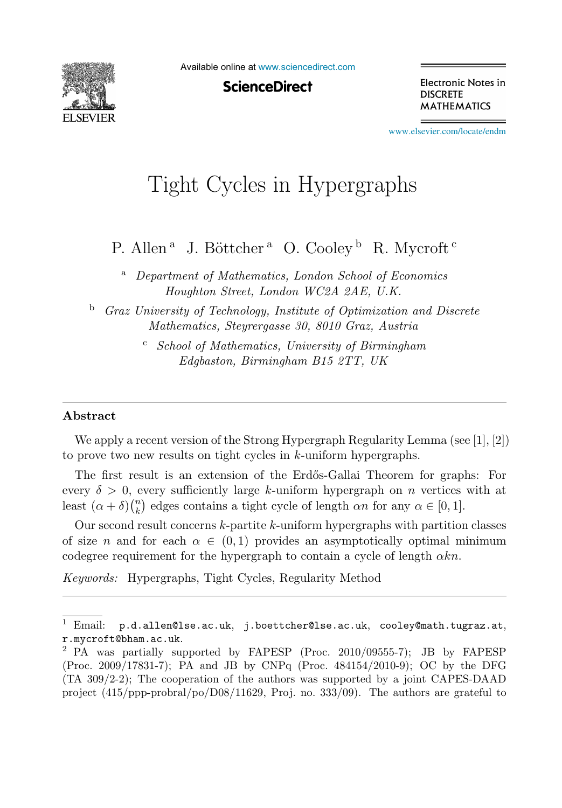

Available online at [www.sciencedirect.com](http://www.sciencedirect.com)

**ScienceDirect** 

Electronic Notes in **DISCRETE MATHEMATICS** 

[www.elsevier.com/locate/endm](http://www.elsevier.com/locate/endm)

# Tight Cycles in Hypergraphs

P. Allen<sup>a</sup> J. Böttcher<sup>a</sup> O. Cooley<sup>b</sup> R. Mycroft<sup>c</sup>

<sup>a</sup> *Department of Mathematics, London School of Economics Houghton Street, London WC2A 2AE, U.K.*

<sup>b</sup> *Graz University of Technology, Institute of Optimization and Discrete Mathematics, Steyrergasse 30, 8010 Graz, Austria*

> <sup>c</sup> *School of Mathematics, University of Birmingham Edgbaston, Birmingham B15 2TT, UK*

#### **Abstract**

We apply a recent version of the Strong Hypergraph Regularity Lemma (see [1], [2]) to prove two new results on tight cycles in k-uniform hypergraphs.

The first result is an extension of the Erdős-Gallai Theorem for graphs: For every  $\delta > 0$ , every sufficiently large k-uniform hypergraph on n vertices with at least  $(\alpha + \delta)$  $\binom{n}{k}$  $\binom{n}{k}$  edges contains a tight cycle of length  $\alpha n$  for any  $\alpha \in [0, 1]$ .

Our second result concerns  $k$ -partite  $k$ -uniform hypergraphs with partition classes of size n and for each  $\alpha \in (0,1)$  provides an asymptotically optimal minimum codegree requirement for the hypergraph to contain a cycle of length  $\alpha kn$ .

*Keywords:* Hypergraphs, Tight Cycles, Regularity Method

 $1$  Email:  $p.d.$ allen@lse.ac.uk, j.boettcher@lse.ac.uk, cooley@math.tugraz.at, r.mycroft@bham.ac.uk.

<sup>2</sup> PA was partially supported by FAPESP (Proc. 2010/09555-7); JB by FAPESP (Proc. 2009/17831-7); PA and JB by CNPq (Proc. 484154/2010-9); OC by the DFG (TA 309/2-2); The cooperation of the authors was supported by a joint CAPES-DAAD project (415/ppp-probral/po/D08/11629, Proj. no. 333/09). The authors are grateful to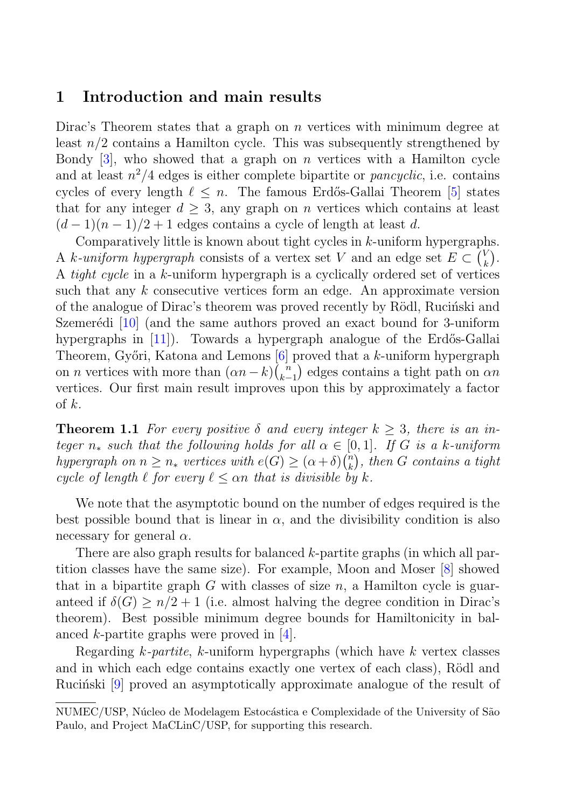## **1 Introduction and main results**

Dirac's Theorem states that a graph on  $n$  vertices with minimum degree at least  $n/2$  contains a Hamilton cycle. This was subsequently strengthened by Bondy  $[3]$ , who showed that a graph on *n* vertices with a Hamilton cycle and at least  $n^2/4$  edges is either complete bipartite or *pancyclic*, i.e. contains cycles of every length  $\ell \leq n$ . The famous Erdős-Gallai Theorem [5] states that for any integer  $d \geq 3$ , any graph on n vertices which contains at least  $(d-1)(n-1)/2+1$  edges contains a cycle of length at least d.

Comparatively little is known about tight cycles in k-uniform hypergraphs. A k-uniform hypergraph consists of a vertex set V and an edge set  $E \subset {V \choose k}$  $\binom{V}{k}$ . A tight cycle in a k-uniform hypergraph is a cyclically ordered set of vertices such that any k consecutive vertices form an edge. An approximate version of the analogue of Dirac's theorem was proved recently by Rödl, Rucinski and Szemerédi  $[10]$  (and the same authors proved an exact bound for 3-uniform hypergraphs in  $[11]$ . Towards a hypergraph analogue of the Erdős-Gallai Theorem, Győri, Katona and Lemons  $[6]$  proved that a k-uniform hypergraph on *n* vertices with more than  $(\alpha n - k)$  $\binom{n}{k-1}$  edges contains a tight path on  $\alpha n$ vertices. Our first main result improves upon this by approximately a factor of  $k$ .

**Theorem 1.1** For every positive  $\delta$  and every integer  $k \geq 3$ , there is an integer  $n_*$  such that the following holds for all  $\alpha \in [0,1]$ . If G is a k-uniform hypergraph on  $n \geq n_*$  vertices with  $e(G) \geq (\alpha + \delta) {n \choose k}$  $\binom{n}{k}$ , then G contains a tight cycle of length  $\ell$  for every  $\ell \leq \alpha n$  that is divisible by k.

We note that the asymptotic bound on the number of edges required is the best possible bound that is linear in  $\alpha$ , and the divisibility condition is also necessary for general  $\alpha$ .

There are also graph results for balanced k-partite graphs (in which all partition classes have the same size). For example, Moon and Moser [8] showed that in a bipartite graph G with classes of size  $n$ , a Hamilton cycle is guaranteed if  $\delta(G) \geq n/2 + 1$  (i.e. almost halving the degree condition in Dirac's theorem). Best possible minimum degree bounds for Hamiltonicity in balanced k-partite graphs were proved in [4].

Regarding  $k$ -partite, k-uniform hypergraphs (which have  $k$  vertex classes and in which each edge contains exactly one vertex of each class), Rödl and Ruciónski  $[9]$  proved an asymptotically approximate analogue of the result of

NUMEC/USP, Núcleo de Modelagem Estocástica e Complexidade of the University of São Paulo, and Project MaCLinC/USP, for supporting this research.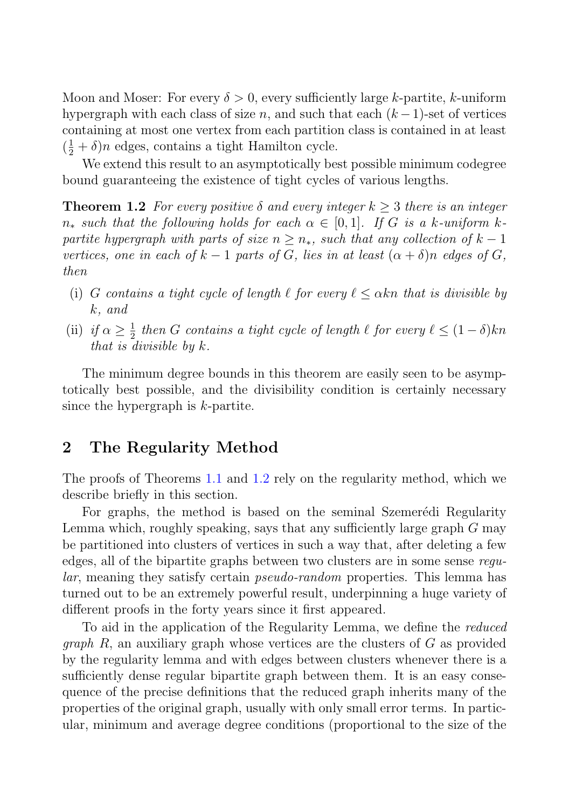Moon and Moser: For every  $\delta > 0$ , every sufficiently large k-partite, k-uniform hypergraph with each class of size n, and such that each  $(k-1)$ -set of vertices containing at most one vertex from each partition class is contained in at least  $(\frac{1}{2} + \delta)n$  edges, contains a tight Hamilton cycle.

We extend this result to an asymptotically best possible minimum codegree bound guaranteeing the existence of tight cycles of various lengths.

**Theorem 1.2** For every positive  $\delta$  and every integer  $k > 3$  there is an integer  $n_*$  such that the following holds for each  $\alpha \in [0,1]$ . If G is a k-uniform kpartite hypergraph with parts of size  $n \geq n_*$ , such that any collection of  $k-1$ vertices, one in each of  $k-1$  parts of G, lies in at least  $(\alpha + \delta)n$  edges of G, then

- (i) G contains a tight cycle of length  $\ell$  for every  $\ell \leq \alpha k$ n that is divisible by k, and
- (ii) if  $\alpha \geq \frac{1}{2}$  then G contains a tight cycle of length  $\ell$  for every  $\ell \leq (1 \delta)kn$ that is divisible by k.

The minimum degree bounds in this theorem are easily seen to be asymptotically best possible, and the divisibility condition is certainly necessary since the hypergraph is k-partite.

#### **2 The Regularity Method**

The proofs of Theorems 1.1 and 1.2 rely on the regularity method, which we describe briefly in this section.

For graphs, the method is based on the seminal Szemerédi Regularity Lemma which, roughly speaking, says that any sufficiently large graph  $G$  may be partitioned into clusters of vertices in such a way that, after deleting a few edges, all of the bipartite graphs between two clusters are in some sense regular, meaning they satisfy certain pseudo-random properties. This lemma has turned out to be an extremely powerful result, underpinning a huge variety of different proofs in the forty years since it first appeared.

To aid in the application of the Regularity Lemma, we define the reduced *graph*  $R$ , an auxiliary graph whose vertices are the clusters of  $G$  as provided by the regularity lemma and with edges between clusters whenever there is a sufficiently dense regular bipartite graph between them. It is an easy consequence of the precise definitions that the reduced graph inherits many of the properties of the original graph, usually with only small error terms. In particular, minimum and average degree conditions (proportional to the size of the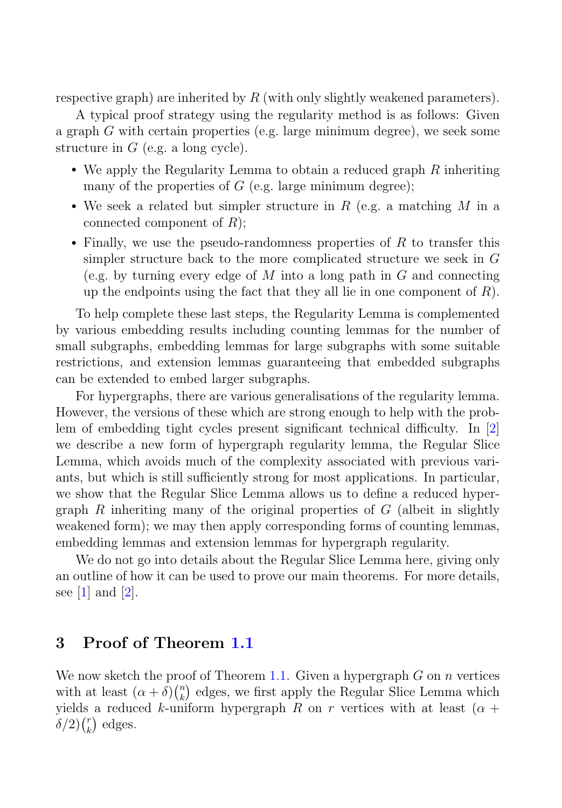respective graph) are inherited by  $R$  (with only slightly weakened parameters).

A typical proof strategy using the regularity method is as follows: Given a graph G with certain properties (e.g. large minimum degree), we seek some structure in  $G$  (e.g. a long cycle).

- We apply the Regularity Lemma to obtain a reduced graph  $R$  inheriting many of the properties of  $G$  (e.g. large minimum degree);
- We seek a related but simpler structure in  $R$  (e.g. a matching  $M$  in a connected component of  $R$ );
- Finally, we use the pseudo-randomness properties of  $R$  to transfer this simpler structure back to the more complicated structure we seek in G (e.g. by turning every edge of  $M$  into a long path in  $G$  and connecting up the endpoints using the fact that they all lie in one component of  $R$ ).

To help complete these last steps, the Regularity Lemma is complemented by various embedding results including counting lemmas for the number of small subgraphs, embedding lemmas for large subgraphs with some suitable restrictions, and extension lemmas guaranteeing that embedded subgraphs can be extended to embed larger subgraphs.

For hypergraphs, there are various generalisations of the regularity lemma. However, the versions of these which are strong enough to help with the problem of embedding tight cycles present significant technical difficulty. In [2] we describe a new form of hypergraph regularity lemma, the Regular Slice Lemma, which avoids much of the complexity associated with previous variants, but which is still sufficiently strong for most applications. In particular, we show that the Regular Slice Lemma allows us to define a reduced hypergraph R inheriting many of the original properties of  $G$  (albeit in slightly weakened form); we may then apply corresponding forms of counting lemmas, embedding lemmas and extension lemmas for hypergraph regularity.

We do not go into details about the Regular Slice Lemma here, giving only an outline of how it can be used to prove our main theorems. For more details, see  $[1]$  and  $[2]$ .

# **3 Proof of Theorem 1.1**

We now sketch the proof of Theorem 1.1. Given a hypergraph  $G$  on  $n$  vertices with at least  $(\alpha + \delta) \binom{n}{k}$  $\binom{n}{k}$  edges, we first apply the Regular Slice Lemma which yields a reduced k-uniform hypergraph R on r vertices with at least  $(\alpha +$  $\delta/2$ ) $\binom{r}{k}$  $\binom{r}{k}$  edges.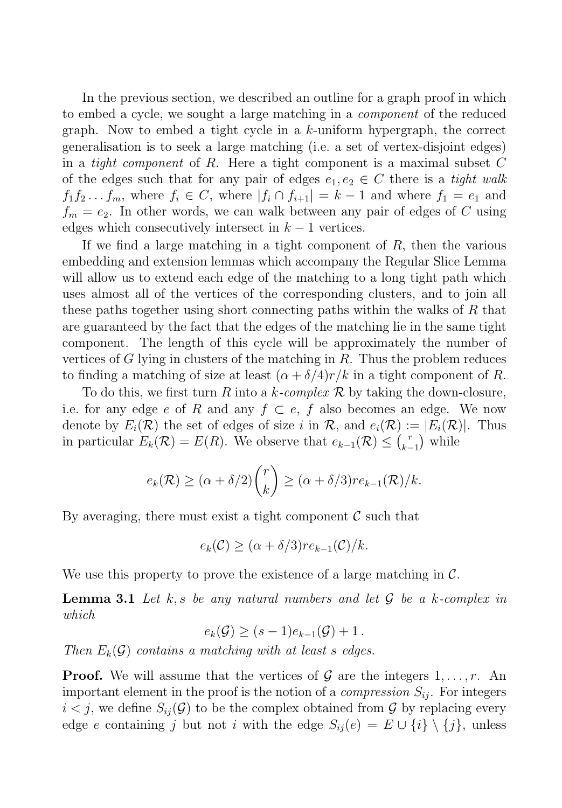In the previous section, we described an outline for a graph proof in which to embed a cycle, we sought a large matching in a component of the reduced graph. Now to embed a tight cycle in a  $k$ -uniform hypergraph, the correct generalisation is to seek a large matching (i.e. a set of vertex-disjoint edges) in a *tight component* of R. Here a tight component is a maximal subset  $C$ of the edges such that for any pair of edges  $e_1, e_2 \in C$  there is a *tight walk*  $f_1f_2...f_m$ , where  $f_i \in C$ , where  $|f_i \cap f_{i+1}| = k-1$  and where  $f_1 = e_1$  and  $f_m = e_2$ . In other words, we can walk between any pair of edges of C using edges which consecutively intersect in  $k-1$  vertices.

If we find a large matching in a tight component of  $R$ , then the various embedding and extension lemmas which accompany the Regular Slice Lemma will allow us to extend each edge of the matching to a long tight path which uses almost all of the vertices of the corresponding clusters, and to join all these paths together using short connecting paths within the walks of  $R$  that are guaranteed by the fact that the edges of the matching lie in the same tight component. The length of this cycle will be approximately the number of vertices of G lying in clusters of the matching in  $R$ . Thus the problem reduces to finding a matching of size at least  $(\alpha + \delta/4)r/k$  in a tight component of R.

To do this, we first turn R into a k-complex R by taking the down-closure, i.e. for any edge e of R and any  $f \subset e$ , f also becomes an edge. We now denote by  $E_i(\mathcal{R})$  the set of edges of size i in  $\mathcal{R}$ , and  $e_i(\mathcal{R}) := |E_i(\mathcal{R})|$ . Thus in particular  $E_k(\mathcal{R}) = E(R)$ . We observe that  $e_{k-1}(\mathcal{R}) \leq {r \choose k-1}$  $\binom{r}{k-1}$  while

$$
e_k(\mathcal{R}) \ge (\alpha + \delta/2) {r \choose k} \ge (\alpha + \delta/3)re_{k-1}(\mathcal{R})/k.
$$

By averaging, there must exist a tight component  $\mathcal C$  such that

$$
e_k(\mathcal{C}) \ge (\alpha + \delta/3)re_{k-1}(\mathcal{C})/k.
$$

We use this property to prove the existence of a large matching in  $\mathcal{C}$ .

**Lemma 3.1** Let  $k, s$  be any natural numbers and let  $\mathcal{G}$  be a k-complex in which

 $e_k(\mathcal{G}) \ge (s-1)e_{k-1}(\mathcal{G}) + 1$ .

Then  $E_k(\mathcal{G})$  contains a matching with at least s edges.

**Proof.** We will assume that the vertices of  $\mathcal{G}$  are the integers  $1, \ldots, r$ . An important element in the proof is the notion of a *compression*  $S_{ii}$ . For integers  $i < j$ , we define  $S_{ij}(\mathcal{G})$  to be the complex obtained from  $\mathcal{G}$  by replacing every edge e containing j but not i with the edge  $S_{ij}(e) = E \cup \{i\} \setminus \{j\}$ , unless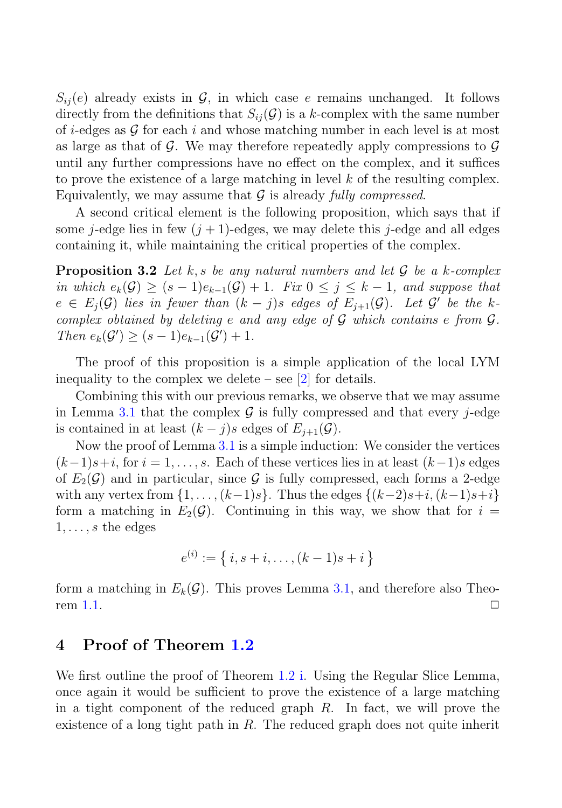$S_{ii}(e)$  already exists in  $\mathcal{G}$ , in which case e remains unchanged. It follows directly from the definitions that  $S_{ii}(\mathcal{G})$  is a k-complex with the same number of i-edges as  $\mathcal G$  for each i and whose matching number in each level is at most as large as that of G. We may therefore repeatedly apply compressions to  $\mathcal G$ until any further compressions have no effect on the complex, and it suffices to prove the existence of a large matching in level  $k$  of the resulting complex. Equivalently, we may assume that  $G$  is already fully compressed.

A second critical element is the following proposition, which says that if some j-edge lies in few  $(j + 1)$ -edges, we may delete this j-edge and all edges containing it, while maintaining the critical properties of the complex.

**Proposition 3.2** Let k, s be any natural numbers and let  $\mathcal{G}$  be a k-complex in which  $e_k(\mathcal{G}) \ge (s-1)e_{k-1}(\mathcal{G}) + 1$ . Fix  $0 \le j \le k-1$ , and suppose that  $e \in E_i(\mathcal{G})$  lies in fewer than  $(k - j)s$  edges of  $E_{i+1}(\mathcal{G})$ . Let  $\mathcal{G}'$  be the kcomplex obtained by deleting  $e$  and any edge of  $G$  which contains  $e$  from  $G$ . Then  $e_k(G') \ge (s-1)e_{k-1}(G') + 1$ .

The proof of this proposition is a simple application of the local LYM inequality to the complex we delete – see  $[2]$  for details.

Combining this with our previous remarks, we observe that we may assume in Lemma 3.1 that the complex  $\mathcal G$  is fully compressed and that every j-edge is contained in at least  $(k - j)s$  edges of  $E_{j+1}(\mathcal{G})$ .

Now the proof of Lemma 3.1 is a simple induction: We consider the vertices  $(k-1)s+i$ , for  $i = 1, \ldots, s$ . Each of these vertices lies in at least  $(k-1)s$  edges of  $E_2(\mathcal{G})$  and in particular, since  $\mathcal G$  is fully compressed, each forms a 2-edge with any vertex from  $\{1,\ldots,(k-1)s\}$ . Thus the edges  $\{(k-2)s+i,(k-1)s+i\}$ form a matching in  $E_2(\mathcal{G})$ . Continuing in this way, we show that for  $i =$  $1,\ldots,s$  the edges

$$
e^{(i)} := \{ i, s + i, \dots, (k-1)s + i \}
$$

form a matching in  $E_k(\mathcal{G})$ . This proves Lemma 3.1, and therefore also Theo-<br>rem 1.1. rem 1.1.  $\Box$ 

### **4 Proof of Theorem 1.2**

We first outline the proof of Theorem 1.2 i. Using the Regular Slice Lemma, once again it would be sufficient to prove the existence of a large matching in a tight component of the reduced graph  $R$ . In fact, we will prove the existence of a long tight path in R. The reduced graph does not quite inherit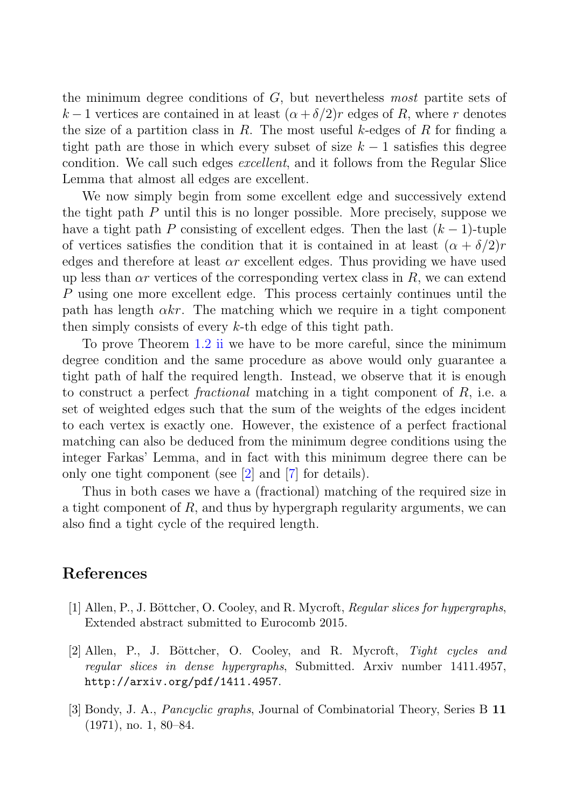the minimum degree conditions of  $G$ , but nevertheless most partite sets of k – 1 vertices are contained in at least  $(\alpha + \delta/2)r$  edges of R, where r denotes the size of a partition class in R. The most useful k-edges of R for finding a tight path are those in which every subset of size  $k-1$  satisfies this degree condition. We call such edges excellent, and it follows from the Regular Slice Lemma that almost all edges are excellent.

We now simply begin from some excellent edge and successively extend the tight path P until this is no longer possible. More precisely, suppose we have a tight path P consisting of excellent edges. Then the last  $(k-1)$ -tuple of vertices satisfies the condition that it is contained in at least  $(\alpha + \delta/2)r$ edges and therefore at least  $\alpha r$  excellent edges. Thus providing we have used up less than  $\alpha r$  vertices of the corresponding vertex class in R, we can extend P using one more excellent edge. This process certainly continues until the path has length  $\alpha k r$ . The matching which we require in a tight component then simply consists of every k-th edge of this tight path.

To prove Theorem 1.2 ii we have to be more careful, since the minimum degree condition and the same procedure as above would only guarantee a tight path of half the required length. Instead, we observe that it is enough to construct a perfect *fractional* matching in a tight component of  $R$ , i.e. a set of weighted edges such that the sum of the weights of the edges incident to each vertex is exactly one. However, the existence of a perfect fractional matching can also be deduced from the minimum degree conditions using the integer Farkas' Lemma, and in fact with this minimum degree there can be only one tight component (see [2] and [7] for details).

Thus in both cases we have a (fractional) matching of the required size in a tight component of R, and thus by hypergraph regularity arguments, we can also find a tight cycle of the required length.

### **References**

- [1] Allen, P., J. Böttcher, O. Cooley, and R. Mycroft, *Regular slices for hypergraphs*, Extended abstract submitted to Eurocomb 2015.
- [2] Allen, P., J. B¨ottcher, O. Cooley, and R. Mycroft, *Tight cycles and regular slices in dense hypergraphs*, Submitted. Arxiv number 1411.4957, http://arxiv.org/pdf/1411.4957.
- [3] Bondy, J. A., *Pancyclic graphs*, Journal of Combinatorial Theory, Series B **11** (1971), no. 1, 80–84.